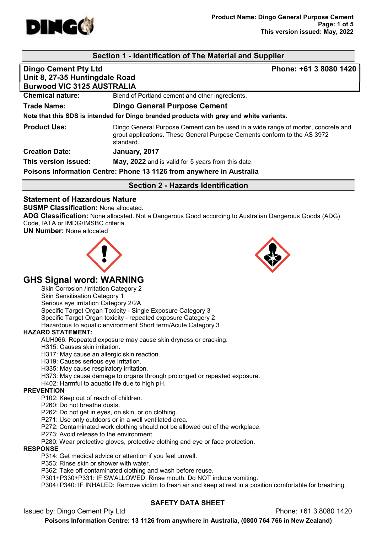

# Section 1 - Identification of The Material and Supplier

# Dingo Cement Pty Ltd **Phone: +61 3 8080 1420** Unit 8, 27-35 Huntingdale Road Burwood VIC 3125 AUSTRALIA Chemical nature: Blend of Portland cement and other ingredients. Trade Name: Dingo General Purpose Cement Note that this SDS is intended for Dingo branded products with grey and white variants. **Product Use:** Dingo General Purpose Cement can be used in a wide range of mortar, concrete and grout applications. These General Purpose Cements conform to the AS 3972 standard. Creation Date: January, 2017 **This version issued:** May, 2022 and is valid for 5 years from this date. Poisons Information Centre: Phone 13 1126 from anywhere in Australia Section 2 - Hazards Identification

## Statement of Hazardous Nature

SUSMP Classification: None allocated.

ADG Classification: None allocated. Not a Dangerous Good according to Australian Dangerous Goods (ADG) Code, IATA or IMDG/IMSBC criteria.

UN Number: None allocated





# GHS Signal word: WARNING

Skin Corrosion /Irritation Category 2

Skin Sensitisation Category 1 Serious eye irritation Category 2/2A Specific Target Organ Toxicity - Single Exposure Category 3 Specific Target Organ toxicity - repeated exposure Category 2

Hazardous to aquatic environment Short term/Acute Category 3

#### HAZARD STATEMENT:

AUH066: Repeated exposure may cause skin dryness or cracking.

H315: Causes skin irritation.

H317: May cause an allergic skin reaction.

H319: Causes serious eye irritation.

H335: May cause respiratory irritation.

H373: May cause damage to organs through prolonged or repeated exposure.

H402: Harmful to aquatic life due to high pH.

#### **PREVENTION**

P102: Keep out of reach of children.

P260: Do not breathe dusts.

P262: Do not get in eyes, on skin, or on clothing.

P271: Use only outdoors or in a well ventilated area.

P272: Contaminated work clothing should not be allowed out of the workplace.

P273: Avoid release to the environment.

P280: Wear protective gloves, protective clothing and eye or face protection.

#### RESPONSE

P314: Get medical advice or attention if you feel unwell.

P353: Rinse skin or shower with water.

P362: Take off contaminated clothing and wash before reuse.

P301+P330+P331: IF SWALLOWED: Rinse mouth. Do NOT induce vomiting.

P304+P340: IF INHALED: Remove victim to fresh air and keep at rest in a position comfortable for breathing.

# SAFETY DATA SHEET

Issued by: Dingo Cement Pty Ltd Phone: +61 3 8080 1420

Poisons Information Centre: 13 1126 from anywhere in Australia, (0800 764 766 in New Zealand)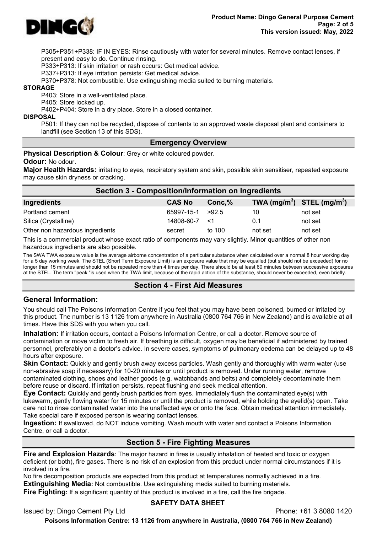

P305+P351+P338: IF IN EYES: Rinse cautiously with water for several minutes. Remove contact lenses, if present and easy to do. Continue rinsing.

P333+P313: If skin irritation or rash occurs: Get medical advice.

P337+P313: If eye irritation persists: Get medical advice.

P370+P378: Not combustible. Use extinguishing media suited to burning materials.

#### STORAGE

P403: Store in a well-ventilated place.

P405: Store locked up.

P402+P404: Store in a dry place. Store in a closed container.

DISPOSAL

P501: If they can not be recycled, dispose of contents to an approved waste disposal plant and containers to landfill (see Section 13 of this SDS).

#### Emergency Overview

**Physical Description & Colour:** Grey or white coloured powder.

Odour: No odour.

Major Health Hazards: irritating to eyes, respiratory system and skin, possible skin sensitiser, repeated exposure may cause skin dryness or cracking.

| Section 3 - Composition/Information on Ingredients |               |           |                                |         |  |
|----------------------------------------------------|---------------|-----------|--------------------------------|---------|--|
| Ingredients                                        | <b>CAS No</b> | $Conc1$ % | TWA $(mg/m^3)$ STEL $(mg/m^3)$ |         |  |
| Portland cement                                    | 65997-15-1    | >92.5     | 10                             | not set |  |
| Silica (Crystalline)                               | 14808-60-7    | <1        | 0.1                            | not set |  |
| Other non hazardous ingredients                    | secret        | to 100    | not set                        | not set |  |

This is a commercial product whose exact ratio of components may vary slightly. Minor quantities of other non hazardous ingredients are also possible.

The SWA TWA exposure value is the average airborne concentration of a particular substance when calculated over a normal 8 hour working day for a 5 day working week. The STEL (Short Term Exposure Limit) is an exposure value that may be equalled (but should not be exceeded) for no longer than 15 minutes and should not be repeated more than 4 times per day. There should be at least 60 minutes between successive exposures at the STEL. The term "peak "is used when the TWA limit, because of the rapid action of the substance, should never be exceeded, even briefly.

#### Section 4 - First Aid Measures

## General Information:

You should call The Poisons Information Centre if you feel that you may have been poisoned, burned or irritated by this product. The number is 13 1126 from anywhere in Australia (0800 764 766 in New Zealand) and is available at all times. Have this SDS with you when you call.

Inhalation: If irritation occurs, contact a Poisons Information Centre, or call a doctor. Remove source of contamination or move victim to fresh air. If breathing is difficult, oxygen may be beneficial if administered by trained personnel, preferably on a doctor's advice. In severe cases, symptoms of pulmonary oedema can be delayed up to 48 hours after exposure.

**Skin Contact:** Quickly and gently brush away excess particles. Wash gently and thoroughly with warm water (use non-abrasive soap if necessary) for 10-20 minutes or until product is removed. Under running water, remove contaminated clothing, shoes and leather goods (e.g. watchbands and belts) and completely decontaminate them before reuse or discard. If irritation persists, repeat flushing and seek medical attention.

Eye Contact: Quickly and gently brush particles from eyes. Immediately flush the contaminated eye(s) with lukewarm, gently flowing water for 15 minutes or until the product is removed, while holding the eyelid(s) open. Take care not to rinse contaminated water into the unaffected eye or onto the face. Obtain medical attention immediately. Take special care if exposed person is wearing contact lenses.

Ingestion: If swallowed, do NOT induce vomiting. Wash mouth with water and contact a Poisons Information Centre, or call a doctor.

# Section 5 - Fire Fighting Measures

Fire and Explosion Hazards: The major hazard in fires is usually inhalation of heated and toxic or oxygen deficient (or both), fire gases. There is no risk of an explosion from this product under normal circumstances if it is involved in a fire.

No fire decomposition products are expected from this product at temperatures normally achieved in a fire. **Extinguishing Media:** Not combustible. Use extinguishing media suited to burning materials.

**Fire Fighting:** If a significant quantity of this product is involved in a fire, call the fire brigade.

#### SAFETY DATA SHEET

Issued by: Dingo Cement Pty Ltd Phone: +61 3 8080 1420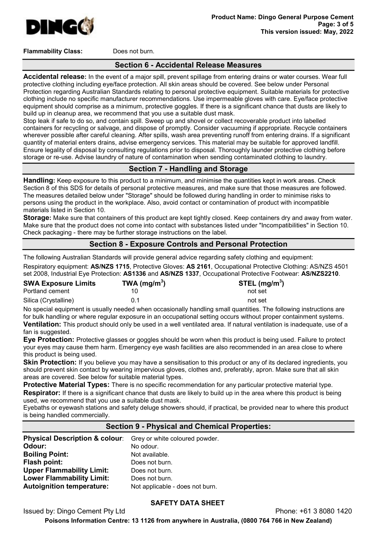

Flammability Class: Does not burn.

### Section 6 - Accidental Release Measures

Accidental release: In the event of a major spill, prevent spillage from entering drains or water courses. Wear full protective clothing including eye/face protection. All skin areas should be covered. See below under Personal Protection regarding Australian Standards relating to personal protective equipment. Suitable materials for protective clothing include no specific manufacturer recommendations. Use impermeable gloves with care. Eye/face protective equipment should comprise as a minimum, protective goggles. If there is a significant chance that dusts are likely to build up in cleanup area, we recommend that you use a suitable dust mask.

Stop leak if safe to do so, and contain spill. Sweep up and shovel or collect recoverable product into labelled containers for recycling or salvage, and dispose of promptly. Consider vacuuming if appropriate. Recycle containers wherever possible after careful cleaning. After spills, wash area preventing runoff from entering drains. If a significant quantity of material enters drains, advise emergency services. This material may be suitable for approved landfill. Ensure legality of disposal by consulting regulations prior to disposal. Thoroughly launder protective clothing before storage or re-use. Advise laundry of nature of contamination when sending contaminated clothing to laundry.

## Section 7 - Handling and Storage

Handling: Keep exposure to this product to a minimum, and minimise the quantities kept in work areas. Check Section 8 of this SDS for details of personal protective measures, and make sure that those measures are followed. The measures detailed below under "Storage" should be followed during handling in order to minimise risks to persons using the product in the workplace. Also, avoid contact or contamination of product with incompatible materials listed in Section 10.

Storage: Make sure that containers of this product are kept tightly closed. Keep containers dry and away from water. Make sure that the product does not come into contact with substances listed under "Incompatibilities" in Section 10. Check packaging - there may be further storage instructions on the label.

## Section 8 - Exposure Controls and Personal Protection

The following Australian Standards will provide general advice regarding safety clothing and equipment: Respiratory equipment: AS/NZS 1715, Protective Gloves: AS 2161, Occupational Protective Clothing: AS/NZS 4501 set 2008, Industrial Eye Protection: AS1336 and AS/NZS 1337, Occupational Protective Footwear: AS/NZS2210.

| <b>SWA Exposure Limits</b> | TWA (mg/m <sup>3</sup> ) | STEL $(mg/m3)$ |
|----------------------------|--------------------------|----------------|
| Portland cement            |                          | not set        |
| Silica (Crystalline)       | በ 1                      | not set        |

No special equipment is usually needed when occasionally handling small quantities. The following instructions are for bulk handling or where regular exposure in an occupational setting occurs without proper containment systems. Ventilation: This product should only be used in a well ventilated area. If natural ventilation is inadequate, use of a fan is suggested.

Eye Protection: Protective glasses or goggles should be worn when this product is being used. Failure to protect your eyes may cause them harm. Emergency eye wash facilities are also recommended in an area close to where this product is being used.

**Skin Protection:** If you believe you may have a sensitisation to this product or any of its declared ingredients, you should prevent skin contact by wearing impervious gloves, clothes and, preferably, apron. Make sure that all skin areas are covered. See below for suitable material types.

**Protective Material Types:** There is no specific recommendation for any particular protective material type. Respirator: If there is a significant chance that dusts are likely to build up in the area where this product is being used, we recommend that you use a suitable dust mask.

Eyebaths or eyewash stations and safety deluge showers should, if practical, be provided near to where this product is being handled commercially.

#### Section 9 - Physical and Chemical Properties:

| Physical Description & colour: Grey or white coloured powder. |                                 |
|---------------------------------------------------------------|---------------------------------|
| Odour:                                                        | No odour.                       |
| <b>Boiling Point:</b>                                         | Not available.                  |
| Flash point:                                                  | Does not burn.                  |
| <b>Upper Flammability Limit:</b>                              | Does not burn.                  |
| <b>Lower Flammability Limit:</b>                              | Does not burn.                  |
| <b>Autoignition temperature:</b>                              | Not applicable - does not burn. |

## SAFETY DATA SHEET

Issued by: Dingo Cement Pty Ltd Phone: +61 3 8080 1420

Poisons Information Centre: 13 1126 from anywhere in Australia, (0800 764 766 in New Zealand)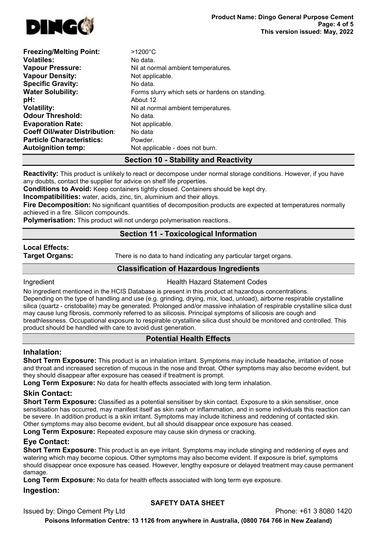

| <b>Freezing/Melting Point:</b>       | $>1200^{\circ}$ C                               |
|--------------------------------------|-------------------------------------------------|
| <b>Volatiles:</b>                    | No data.                                        |
| <b>Vapour Pressure:</b>              | Nil at normal ambient temperatures.             |
| <b>Vapour Density:</b>               | Not applicable.                                 |
| <b>Specific Gravity:</b>             | No data.                                        |
| <b>Water Solubility:</b>             | Forms slurry which sets or hardens on standing. |
| pH:                                  | About 12                                        |
| <b>Volatility:</b>                   | Nil at normal ambient temperatures.             |
| <b>Odour Threshold:</b>              | No data.                                        |
| <b>Evaporation Rate:</b>             | Not applicable.                                 |
| <b>Coeff Oil/water Distribution:</b> | No data                                         |
| <b>Particle Characteristics:</b>     | Powder.                                         |
| <b>Autoignition temp:</b>            | Not applicable - does not burn.                 |

# Section 10 - Stability and Reactivity

**Reactivity:** This product is unlikely to react or decompose under normal storage conditions. However, if you have any doubts, contact the supplier for advice on shelf life properties.

Conditions to Avoid: Keep containers tightly closed. Containers should be kept dry.

Incompatibilities: water, acids, zinc, tin, aluminium and their alloys.

Fire Decomposition: No significant quantities of decomposition products are expected at temperatures normally achieved in a fire. Silicon compounds.

**Polymerisation:** This product will not undergo polymerisation reactions.

## Section 11 - Toxicological Information

# Local Effects:

**Target Organs:** There is no data to hand indicating any particular target organs.

## Classification of Hazardous Ingredients

**Ingredient Health Hazard Statement Codes** 

No ingredient mentioned in the HCIS Database is present in this product at hazardous concentrations. Depending on the type of handling and use (e.g. grinding, drying, mix, load, unload), airborne respirable crystalline silica (quartz - cristobalite) may be generated. Prolonged and/or massive inhalation of respirable crystalline silica dust may cause lung fibrosis, commonly referred to as silicosis. Principal symptoms of silicosis are cough and breathlessness. Occupational exposure to respirable crystalline silica dust should be monitored and controlled. This product should be handled with care to avoid dust generation.

# Potential Health Effects

## Inhalation:

Short Term Exposure: This product is an inhalation irritant. Symptoms may include headache, irritation of nose and throat and increased secretion of mucous in the nose and throat. Other symptoms may also become evident, but they should disappear after exposure has ceased if treatment is prompt.

Long Term Exposure: No data for health effects associated with long term inhalation.

## Skin Contact:

Short Term Exposure: Classified as a potential sensitiser by skin contact. Exposure to a skin sensitiser, once sensitisation has occurred, may manifest itself as skin rash or inflammation, and in some individuals this reaction can be severe. In addition product is a skin irritant. Symptoms may include itchiness and reddening of contacted skin. Other symptoms may also become evident, but all should disappear once exposure has ceased.

Long Term Exposure: Repeated exposure may cause skin dryness or cracking.

# Eye Contact:

Short Term Exposure: This product is an eye irritant. Symptoms may include stinging and reddening of eyes and watering which may become copious. Other symptoms may also become evident. If exposure is brief, symptoms should disappear once exposure has ceased. However, lengthy exposure or delayed treatment may cause permanent damage.

Long Term Exposure: No data for health effects associated with long term eye exposure.

#### Ingestion:

## SAFETY DATA SHEET

Issued by: Dingo Cement Pty Ltd Phone: +61 3 8080 1420